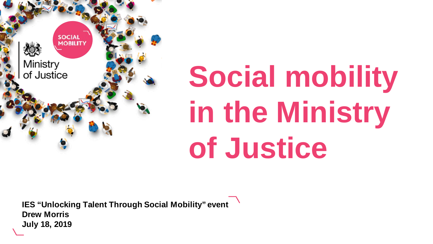

# **Social mobility in the Ministry of Justice**

**IES "Unlocking Talent Through Social Mobility" event Drew Morris July 18, 2019**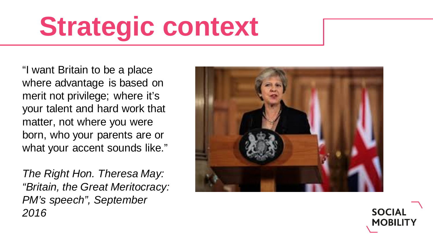## **Strategic context**

"I want Britain to be a place where advantage is based on merit not privilege; where it's your talent and hard work that matter, not where you were born, who your parents are or what your accent sounds like."

*The Right Hon. Theresa May: "Britain, the Great Meritocracy: PM's speech", September 2016*



**SOCIAL MOBILITY**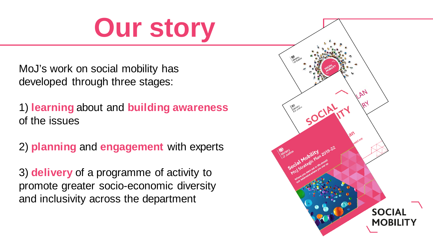#### **Our story**

MoJ's work on social mobility has developed through three stages:

1) **learning** about and **building awareness**  of the issues

2) **planning** and **engagement** with experts

3) **delivery** of a programme of activity to promote greater socio-economic diversity and inclusivity across the department

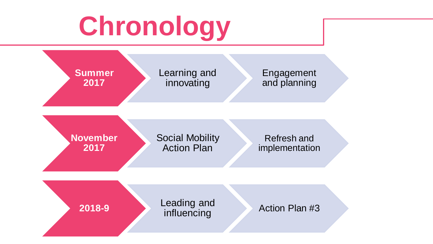# **Chronology**

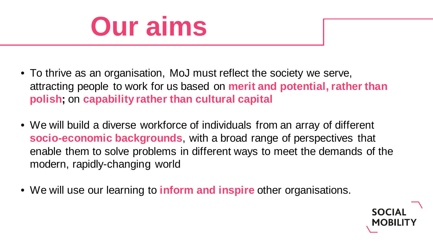

- To thrive as an organisation, MoJ must reflect the society we serve, attracting people to work for us based on **merit and potential, rather than polish;** on **capability rather than cultural capital**
- We will build a diverse workforce of individuals from an array of different **socio-economic backgrounds**, with a broad range of perspectives that enable them to solve problems in different ways to meet the demands of the modern, rapidly-changing world
- We will use our learning to **inform and inspire** other organisations.

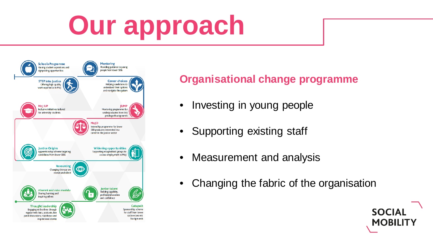# **Our approach**



#### **Organisational change programme**

- Investing in young people
- Supporting existing staff
- Measurement and analysis
- Changing the fabric of the organisation

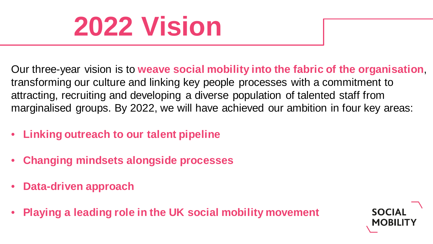#### **2022 Vision**

Our three-year vision is to **weave social mobility into the fabric of the organisation**, transforming our culture and linking key people processes with a commitment to attracting, recruiting and developing a diverse population of talented staff from marginalised groups. By 2022, we will have achieved our ambition in four key areas:

- **Linking outreach to our talent pipeline**
- **Changing mindsets alongside processes**
- **Data-driven approach**
- **Playing a leading role in the UK social mobility movement**